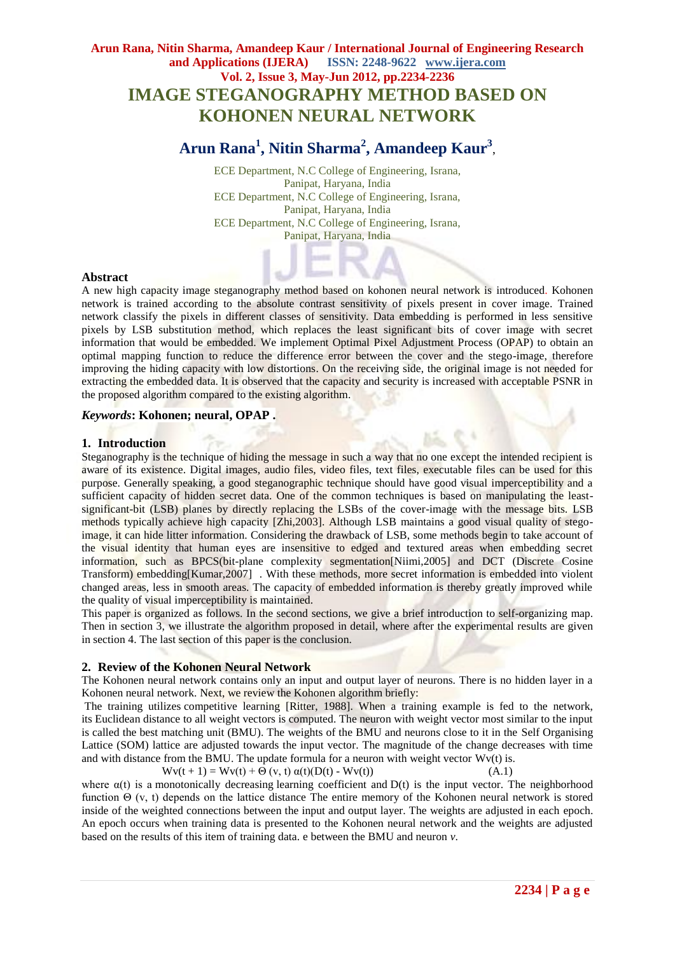# **Arun Rana, Nitin Sharma, Amandeep Kaur / International Journal of Engineering Research and Applications (IJERA) ISSN: 2248-9622 www.ijera.com Vol. 2, Issue 3, May-Jun 2012, pp.2234-2236 IMAGE STEGANOGRAPHY METHOD BASED ON KOHONEN NEURAL NETWORK**

# **Arun Rana<sup>1</sup> , Nitin Sharma<sup>2</sup> , Amandeep Kaur<sup>3</sup>** ,

ECE Department, N.C College of Engineering, Israna, Panipat, Haryana, India ECE Department, N.C College of Engineering, Israna, Panipat, Haryana, India ECE Department, N.C College of Engineering, Israna, Panipat, Haryana, India

#### **Abstract**

A new high capacity image steganography method based on kohonen neural network is introduced. Kohonen network is trained according to the absolute contrast sensitivity of pixels present in cover image. Trained network classify the pixels in different classes of sensitivity. Data embedding is performed in less sensitive pixels by LSB substitution method, which replaces the least significant bits of cover image with secret information that would be embedded. We implement Optimal Pixel Adjustment Process (OPAP) to obtain an optimal mapping function to reduce the difference error between the cover and the stego-image, therefore improving the hiding capacity with low distortions. On the receiving side, the original image is not needed for extracting the embedded data. It is observed that the capacity and security is increased with acceptable PSNR in the proposed algorithm compared to the existing algorithm.

# *Keywords***: Kohonen; neural, OPAP .**

# **1. Introduction**

Steganography is the technique of hiding the message in such a way that no one except the intended recipient is aware of its existence. Digital images, audio files, video files, text files, executable files can be used for this purpose. Generally speaking, a good steganographic technique should have good visual imperceptibility and a sufficient capacity of hidden secret data. One of the common techniques is based on manipulating the leastsignificant-bit (LSB) planes by directly replacing the LSBs of the cover-image with the message bits. LSB methods typically achieve high capacity [Zhi,2003]. Although LSB maintains a good visual quality of stegoimage, it can hide litter information. Considering the drawback of LSB, some methods begin to take account of the visual identity that human eyes are insensitive to edged and textured areas when embedding secret information, such as BPCS(bit-plane complexity segmentation[Niimi,2005] and DCT (Discrete Cosine Transform) embedding[Kumar,2007] . With these methods, more secret information is embedded into violent changed areas, less in smooth areas. The capacity of embedded information is thereby greatly improved while the quality of visual imperceptibility is maintained.

This paper is organized as follows. In the second sections, we give a brief introduction to self-organizing map. Then in section 3, we illustrate the algorithm proposed in detail, where after the experimental results are given in section 4. The last section of this paper is the conclusion.

#### **2. Review of the Kohonen Neural Network**

The Kohonen neural network contains only an input and output layer of neurons. There is no hidden layer in a Kohonen neural network. Next, we review the Kohonen algorithm briefly:

The training utilizes [competitive learning](http://en.wikipedia.org/wiki/Competitive_learning) [Ritter, 1988]. When a training example is fed to the network, its [Euclidean distance](http://en.wikipedia.org/wiki/Euclidean_distance) to all weight vectors is computed. The neuron with weight vector most similar to the input is called the best matching unit (BMU). The weights of the BMU and neurons close to it in the Self Organising Lattice (SOM) lattice are adjusted towards the input vector. The magnitude of the change decreases with time and with distance from the BMU. The update formula for a neuron with weight vector Wv(t) is.

$$
Wv(t + 1) = Wv(t) + \Theta(v, t) \alpha(t)(D(t) - Wv(t))
$$
\n(A.1)

where  $\alpha(t)$  is a [monotonically decreasing](http://en.wikipedia.org/wiki/Monotonically_decreasing) learning coefficient and  $D(t)$  is the input vector. The neighborhood function Θ (v, t) depends on the lattice distance The entire memory of the Kohonen neural network is stored inside of the weighted connections between the input and output layer. The weights are adjusted in each epoch. An epoch occurs when training data is presented to the Kohonen neural network and the weights are adjusted based on the results of this item of training data. e between the BMU and neuron *v*.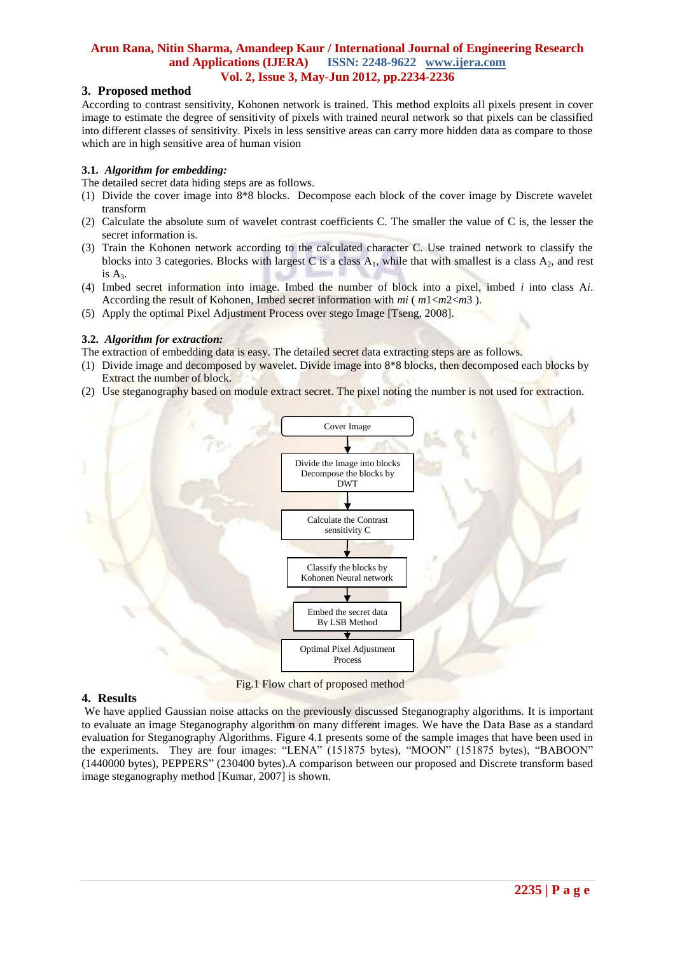# **Arun Rana, Nitin Sharma, Amandeep Kaur / International Journal of Engineering Research and Applications (IJERA) ISSN: 2248-9622 www.ijera.com Vol. 2, Issue 3, May-Jun 2012, pp.2234-2236**

# **3. Proposed method**

According to contrast sensitivity, Kohonen network is trained. This method exploits all pixels present in cover image to estimate the degree of sensitivity of pixels with trained neural network so that pixels can be classified into different classes of sensitivity. Pixels in less sensitive areas can carry more hidden data as compare to those which are in high sensitive area of human vision

#### **3.1.** *Algorithm for embedding:*

The detailed secret data hiding steps are as follows.

- (1) Divide the cover image into 8\*8 blocks. Decompose each block of the cover image by Discrete wavelet transform
- (2) Calculate the absolute sum of wavelet contrast coefficients C. The smaller the value of C is, the lesser the secret information is.
- (3) Train the Kohonen network according to the calculated character C. Use trained network to classify the blocks into 3 categories. Blocks with largest C is a class  $A_1$ , while that with smallest is a class  $A_2$ , and rest is  $A_3$ .
- (4) Imbed secret information into image. Imbed the number of block into a pixel, imbed *i* into class A*i*. According the result of Kohonen, Imbed secret information with *mi* ( *m*1<*m*2<*m*3 ).
- (5) Apply the optimal Pixel Adjustment Process over stego Image [Tseng, 2008].

#### **3.2.** *Algorithm for extraction:*

- The extraction of embedding data is easy. The detailed secret data extracting steps are as follows.
- (1) Divide image and decomposed by wavelet. Divide image into 8\*8 blocks, then decomposed each blocks by Extract the number of block.
- (2) Use steganography based on module extract secret. The pixel noting the number is not used for extraction.



Fig.1 Flow chart of proposed method

### **4. Results**

We have applied Gaussian noise attacks on the previously discussed Steganography algorithms. It is important to evaluate an image Steganography algorithm on many different images. We have the Data Base as a standard evaluation for Steganography Algorithms. Figure 4.1 presents some of the sample images that have been used in the experiments. They are four images: "LENA" (151875 bytes), "MOON" (151875 bytes), "BABOON" (1440000 bytes), PEPPERS" (230400 bytes).A comparison between our proposed and Discrete transform based image steganography method [Kumar, 2007] is shown.